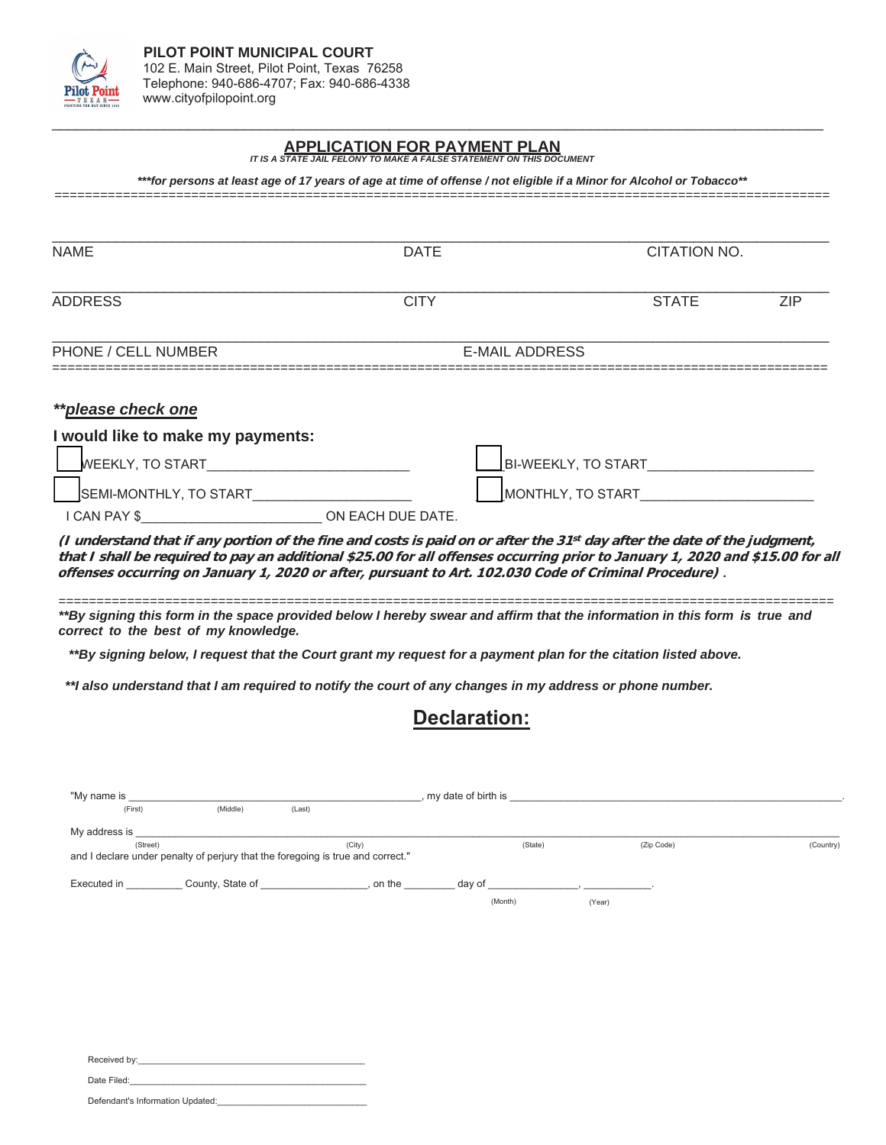

## **APPLICATION FOR PAYMENT PLAN** *IT IS A STATE JAIL FELONY TO MAKE A FALSE STATEMENT ON THIS DOCUMENT*

*\*\*\*for persons at least age of 17 years of age at time of offense / not eligible if a Minor for Alcohol or Tobacco\*\**

======================================================================================================

 $\Box$ 

| <b>NAME</b>                                                                                                                          | DATE              |                       | CITATION NO. |  |  |
|--------------------------------------------------------------------------------------------------------------------------------------|-------------------|-----------------------|--------------|--|--|
| <b>ADDRESS</b>                                                                                                                       | <b>CITY</b>       | <b>STATE</b>          | <b>ZIP</b>   |  |  |
| PHONE / CELL NUMBER                                                                                                                  |                   | <b>E-MAIL ADDRESS</b> |              |  |  |
| **please check one                                                                                                                   |                   |                       |              |  |  |
| I would like to make my payments:                                                                                                    |                   |                       |              |  |  |
| <b>WEEKLY, TO START</b>                                                                                                              |                   | BI-WEEKLY, TO START   |              |  |  |
| SEMI-MONTHLY, TO START                                                                                                               |                   | MONTHLY, TO START     |              |  |  |
| I CAN PAY \$                                                                                                                         | ON EACH DUE DATE. |                       |              |  |  |
| (I understand that if any portion of the fine and costs is paid on or after the 31 <sup>st</sup> day after the date of the judgment. |                   |                       |              |  |  |

**(I understand that LIany portion of the fine and costs is paid on or after the 31st day after the date of the judgment,**  that I shall be required to pay an additional \$25.00 **for all offenses occurring prior to January 1, 2020 and \$15.00 for all** offenses occurring on January 1, 2020 or after, pursuant to Art. 102.030 Code of Criminal Procedure) .

====================================================================================================== \*\*By signing this form in the space provided below I hereby swear and affirm that the information in this form is true and *correct to the best of my knowledge.*

*\*\*By signing below, I request that the Court grant my request for a payment plan for the citation listed above.* 

*\*\*I also understand that I am required to notify the court of any changes in my address or phone number.*

## Declaration:

| "My name is   |                  |                                                                                           | my date of birth is |         |            |           |
|---------------|------------------|-------------------------------------------------------------------------------------------|---------------------|---------|------------|-----------|
| (First)       | (Middle)         | (Last)                                                                                    |                     |         |            |           |
| My address is |                  |                                                                                           |                     |         |            |           |
| (Street)      |                  | (City)<br>and I declare under penalty of perjury that the foregoing is true and correct." |                     | (State) | (Zip Code) | (Country) |
| Executed in   | County, State of | on the                                                                                    | day of              |         |            |           |
|               |                  |                                                                                           | (Month)             |         | (Year)     |           |

| Received by:                     |  |
|----------------------------------|--|
| Date Filed:                      |  |
| Defendant's Information Updated: |  |